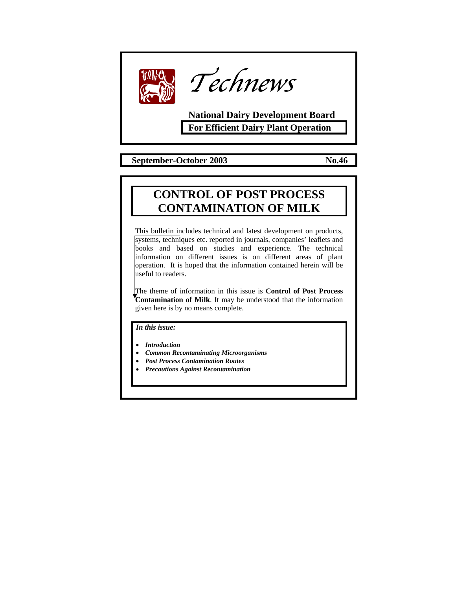



**National Dairy Development Board For Efficient Dairy Plant Operation** 

 **September-October 2003 No.46** 

# **CONTROL OF POST PROCESS CONTAMINATION OF MILK**

This bulletin includes technical and latest development on products, systems, techniques etc. reported in journals, companies' leaflets and books and based on studies and experience. The technical information on different issues is on different areas of plant operation. It is hoped that the information contained herein will be useful to readers.

The theme of information in this issue is **Control of Post Process Contamination of Milk**. It may be understood that the information given here is by no means complete.

*In this issue:* 

• *Introduction* 

- *Common Recontaminating Microorganisms*
- *Post Process Contamination Routes*
- *Precautions Against Recontamination*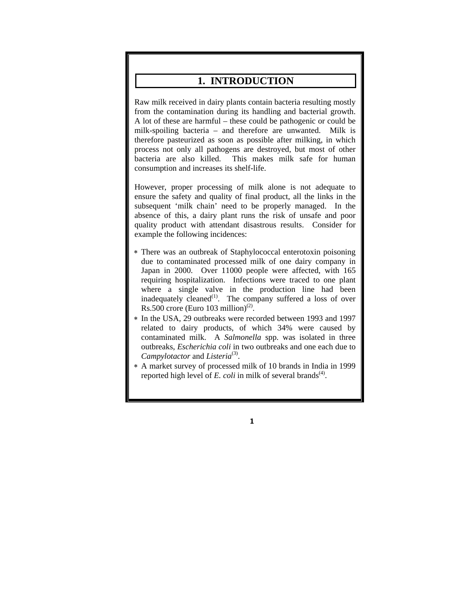## **1. INTRODUCTION**

Raw milk received in dairy plants contain bacteria resulting mostly from the contamination during its handling and bacterial growth. A lot of these are harmful – these could be pathogenic or could be milk-spoiling bacteria – and therefore are unwanted. Milk is therefore pasteurized as soon as possible after milking, in which process not only all pathogens are destroyed, but most of other bacteria are also killed. This makes milk safe for human consumption and increases its shelf-life.

However, proper processing of milk alone is not adequate to ensure the safety and quality of final product, all the links in the subsequent 'milk chain' need to be properly managed. In the absence of this, a dairy plant runs the risk of unsafe and poor quality product with attendant disastrous results. Consider for example the following incidences:

- ∗ There was an outbreak of Staphylococcal enterotoxin poisoning due to contaminated processed milk of one dairy company in Japan in 2000. Over 11000 people were affected, with 165 requiring hospitalization. Infections were traced to one plant where a single valve in the production line had been inadequately cleaned<sup>(1)</sup>. The company suffered a loss of over Rs.500 crore (Euro 103 million)<sup>(2)</sup>.
- ∗ In the USA, 29 outbreaks were recorded between 1993 and 1997 related to dairy products, of which 34% were caused by contaminated milk. A *Salmonella* spp. was isolated in three outbreaks, *Escherichia coli* in two outbreaks and one each due to *Campylotactor* and *Listeria*<sup>(3)</sup>.
- ∗ A market survey of processed milk of 10 brands in India in 1999 reported high level of  $E$ . *coli* in milk of several brands<sup> $(4)$ </sup>.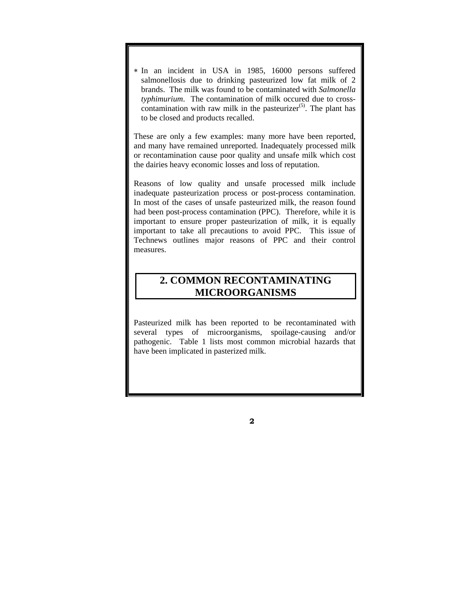∗ In an incident in USA in 1985, 16000 persons suffered salmonellosis due to drinking pasteurized low fat milk of 2 brands. The milk was found to be contaminated with *Salmonella typhimurium*. The contamination of milk occured due to crosscontamination with raw milk in the pasteurizer<sup> $(5)$ </sup>. The plant has to be closed and products recalled.

These are only a few examples: many more have been reported, and many have remained unreported. Inadequately processed milk or recontamination cause poor quality and unsafe milk which cost the dairies heavy economic losses and loss of reputation.

Reasons of low quality and unsafe processed milk include inadequate pasteurization process or post-process contamination. In most of the cases of unsafe pasteurized milk, the reason found had been post-process contamination (PPC). Therefore, while it is important to ensure proper pasteurization of milk, it is equally important to take all precautions to avoid PPC. This issue of Technews outlines major reasons of PPC and their control measures.

# **2. COMMON RECONTAMINATING MICROORGANISMS**

Pasteurized milk has been reported to be recontaminated with several types of microorganisms, spoilage-causing and/or pathogenic. Table 1 lists most common microbial hazards that have been implicated in pasterized milk.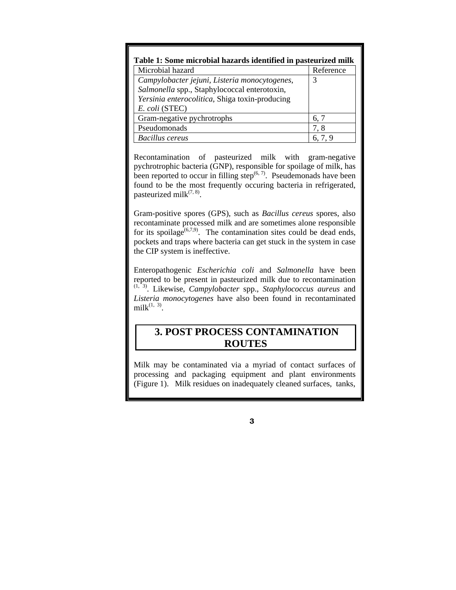| Table 1: Some microbial hazards identified in pasteurized milk                                                                                                    |           |  |
|-------------------------------------------------------------------------------------------------------------------------------------------------------------------|-----------|--|
| Microbial hazard                                                                                                                                                  | Reference |  |
| Campylobacter jejuni, Listeria monocytogenes,<br>Salmonella spp., Staphylococcal enterotoxin,<br>Yersinia enterocolitica, Shiga toxin-producing<br>E. coli (STEC) | 3         |  |
| Gram-negative pychrotrophs                                                                                                                                        | 6, 7      |  |
| Pseudomonads                                                                                                                                                      | 7.8       |  |
| <b>Bacillus cereus</b>                                                                                                                                            | 6, 7, 9   |  |

Recontamination of pasteurized milk with gram-negative pychrotrophic bacteria (GNP), responsible for spoilage of milk, has been reported to occur in filling step $^{(6, 7)}$ . Pseudemonads have been found to be the most frequently occuring bacteria in refrigerated, pasteurized milk $(7, 8)$ .

Gram-positive spores (GPS), such as *Bacillus cereus* spores, also recontaminate processed milk and are sometimes alone responsible for its spoilage<sup> $(6,7,9)$ </sup>. The contamination sites could be dead ends, pockets and traps where bacteria can get stuck in the system in case the CIP system is ineffective.

Enteropathogenic *Escherichia coli* and *Salmonella* have been reported to be present in pasteurized milk due to recontamination (1, 3). Likewise, *Campylobacter* spp., *Staphylococcus aureus* and *Listeria monocytogenes* have also been found in recontaminated  $milk$ <sup>(1, 3)</sup>.

## **3. POST PROCESS CONTAMINATION ROUTES**

Milk may be contaminated via a myriad of contact surfaces of processing and packaging equipment and plant environments (Figure 1). Milk residues on inadequately cleaned surfaces, tanks,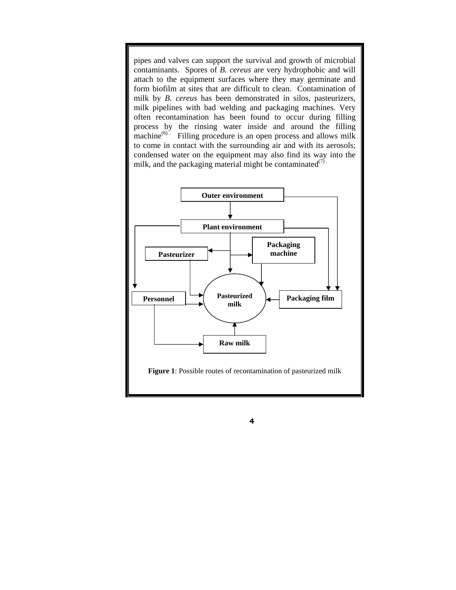pipes and valves can support the survival and growth of microbial contaminants. Spores of *B. cereus* are very hydrophobic and will attach to the equipment surfaces where they may germinate and form biofilm at sites that are difficult to clean. Contamination of milk by *B. cereus* has been demonstrated in silos, pasteurizers, milk pipelines with bad welding and packaging machines. Very often recontamination has been found to occur during filling process by the rinsing water inside and around the filling machine $^{(6)}$ . Filling procedure is an open process and allows milk to come in contact with the surrounding air and with its aerosols; condensed water on the equipment may also find its way into the milk, and the packaging material might be contaminated $(7)$ .

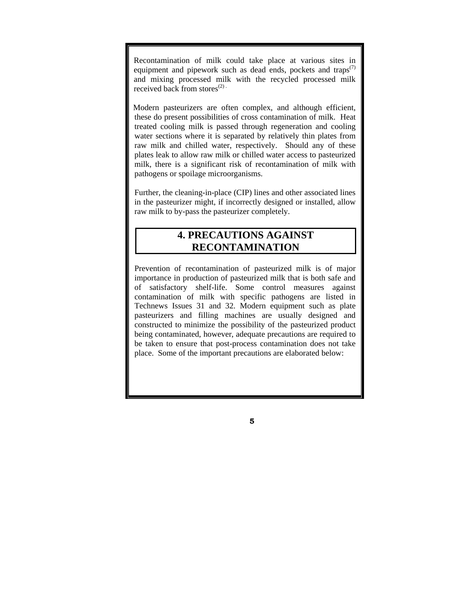Recontamination of milk could take place at various sites in equipment and pipework such as dead ends, pockets and traps $(7)$ and mixing processed milk with the recycled processed milk received back from stores $^{(2)}$ .

 Modern pasteurizers are often complex, and although efficient, these do present possibilities of cross contamination of milk. Heat treated cooling milk is passed through regeneration and cooling water sections where it is separated by relatively thin plates from raw milk and chilled water, respectively. Should any of these plates leak to allow raw milk or chilled water access to pasteurized milk, there is a significant risk of recontamination of milk with pathogens or spoilage microorganisms.

Further, the cleaning-in-place (CIP) lines and other associated lines in the pasteurizer might, if incorrectly designed or installed, allow raw milk to by-pass the pasteurizer completely.

# **4. PRECAUTIONS AGAINST RECONTAMINATION**

Prevention of recontamination of pasteurized milk is of major importance in production of pasteurized milk that is both safe and of satisfactory shelf-life. Some control measures against contamination of milk with specific pathogens are listed in Technews Issues 31 and 32. Modern equipment such as plate pasteurizers and filling machines are usually designed and constructed to minimize the possibility of the pasteurized product being contaminated, however, adequate precautions are required to be taken to ensure that post-process contamination does not take place. Some of the important precautions are elaborated below: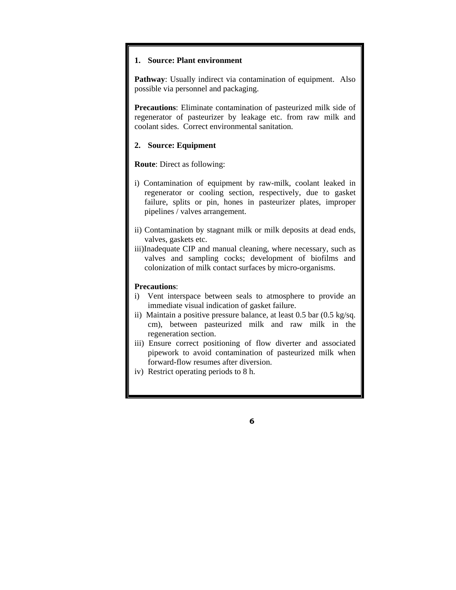#### **1. Source: Plant environment**

**Pathway**: Usually indirect via contamination of equipment. Also possible via personnel and packaging.

**Precautions**: Eliminate contamination of pasteurized milk side of regenerator of pasteurizer by leakage etc. from raw milk and coolant sides. Correct environmental sanitation.

#### **2. Source: Equipment**

**Route**: Direct as following:

- i) Contamination of equipment by raw-milk, coolant leaked in regenerator or cooling section, respectively, due to gasket failure, splits or pin, hones in pasteurizer plates, improper pipelines / valves arrangement.
- ii) Contamination by stagnant milk or milk deposits at dead ends, valves, gaskets etc.
- iii)Inadequate CIP and manual cleaning, where necessary, such as valves and sampling cocks; development of biofilms and colonization of milk contact surfaces by micro-organisms.

### **Precautions**:

- i) Vent interspace between seals to atmosphere to provide an immediate visual indication of gasket failure.
- ii) Maintain a positive pressure balance, at least 0.5 bar (0.5 kg/sq. cm), between pasteurized milk and raw milk in the regeneration section.
- iii) Ensure correct positioning of flow diverter and associated pipework to avoid contamination of pasteurized milk when forward-flow resumes after diversion.
- iv) Restrict operating periods to 8 h.

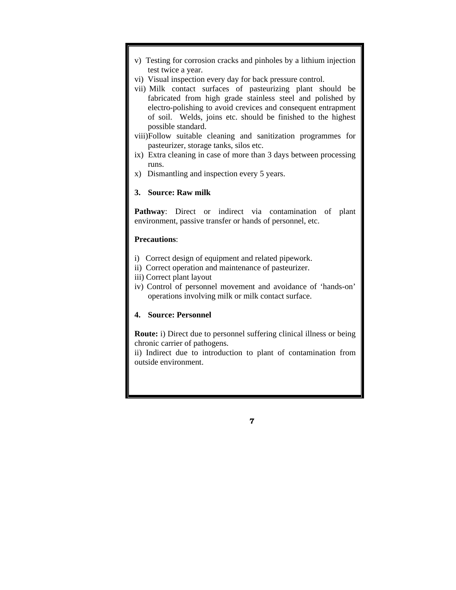- v) Testing for corrosion cracks and pinholes by a lithium injection test twice a year.
- vi) Visual inspection every day for back pressure control.
- vii) Milk contact surfaces of pasteurizing plant should be fabricated from high grade stainless steel and polished by electro-polishing to avoid crevices and consequent entrapment of soil. Welds, joins etc. should be finished to the highest possible standard.
- viii)Follow suitable cleaning and sanitization programmes for pasteurizer, storage tanks, silos etc.
- ix) Extra cleaning in case of more than 3 days between processing runs.
- x) Dismantling and inspection every 5 years.

### **3. Source: Raw milk**

**Pathway:** Direct or indirect via contamination of plant environment, passive transfer or hands of personnel, etc.

### **Precautions**:

- i) Correct design of equipment and related pipework.
- ii) Correct operation and maintenance of pasteurizer.
- iii) Correct plant layout
- iv) Control of personnel movement and avoidance of 'hands-on' operations involving milk or milk contact surface.

### **4. Source: Personnel**

**Route:** i) Direct due to personnel suffering clinical illness or being chronic carrier of pathogens.

ii) Indirect due to introduction to plant of contamination from outside environment.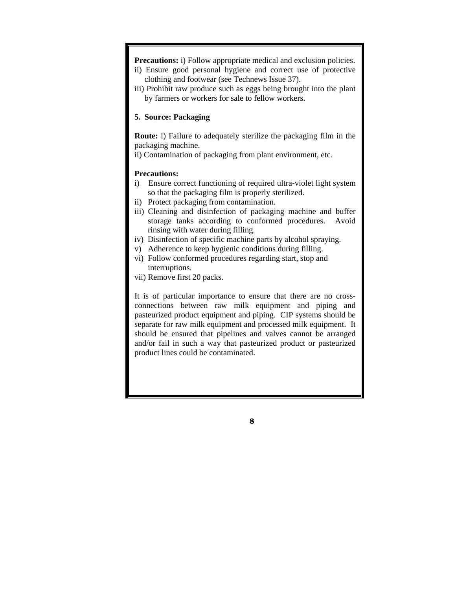**Precautions: i**) Follow appropriate medical and exclusion policies.

- ii) Ensure good personal hygiene and correct use of protective clothing and footwear (see Technews Issue 37).
- iii) Prohibit raw produce such as eggs being brought into the plant by farmers or workers for sale to fellow workers.

### **5. Source: Packaging**

**Route:** i) Failure to adequately sterilize the packaging film in the packaging machine.

ii) Contamination of packaging from plant environment, etc.

#### **Precautions:**

- i) Ensure correct functioning of required ultra-violet light system so that the packaging film is properly sterilized.
- ii) Protect packaging from contamination.
- iii) Cleaning and disinfection of packaging machine and buffer storage tanks according to conformed procedures. Avoid rinsing with water during filling.
- iv) Disinfection of specific machine parts by alcohol spraying.
- v) Adherence to keep hygienic conditions during filling.
- vi) Follow conformed procedures regarding start, stop and interruptions.
- vii) Remove first 20 packs.

It is of particular importance to ensure that there are no crossconnections between raw milk equipment and piping and pasteurized product equipment and piping. CIP systems should be separate for raw milk equipment and processed milk equipment. It should be ensured that pipelines and valves cannot be arranged and/or fail in such a way that pasteurized product or pasteurized product lines could be contaminated.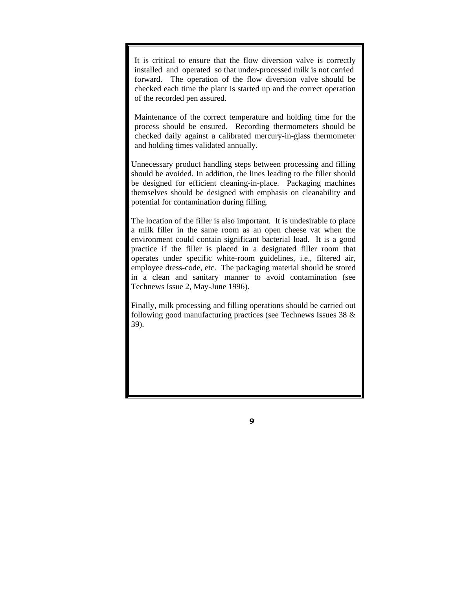It is critical to ensure that the flow diversion valve is correctly installed and operated so that under-processed milk is not carried forward. The operation of the flow diversion valve should be checked each time the plant is started up and the correct operation of the recorded pen assured.

Maintenance of the correct temperature and holding time for the process should be ensured. Recording thermometers should be checked daily against a calibrated mercury-in-glass thermometer and holding times validated annually.

Unnecessary product handling steps between processing and filling should be avoided. In addition, the lines leading to the filler should be designed for efficient cleaning-in-place. Packaging machines themselves should be designed with emphasis on cleanability and potential for contamination during filling.

The location of the filler is also important. It is undesirable to place a milk filler in the same room as an open cheese vat when the environment could contain significant bacterial load. It is a good practice if the filler is placed in a designated filler room that operates under specific white-room guidelines, i.e., filtered air, employee dress-code, etc. The packaging material should be stored in a clean and sanitary manner to avoid contamination (see Technews Issue 2, May-June 1996).

Finally, milk processing and filling operations should be carried out following good manufacturing practices (see Technews Issues 38 & 39).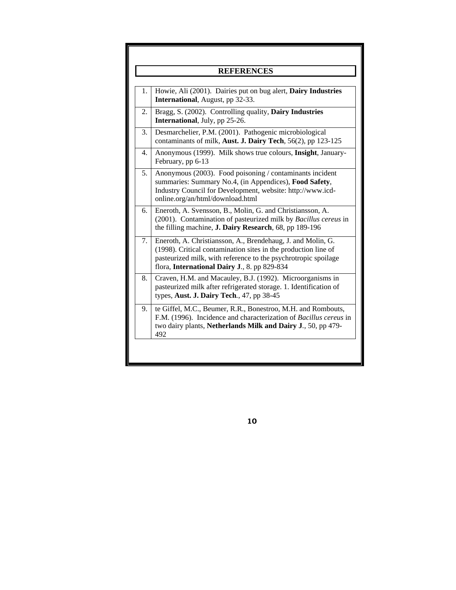| <b>REFERENCES</b> |                                                                                                                                                                                                                                                 |
|-------------------|-------------------------------------------------------------------------------------------------------------------------------------------------------------------------------------------------------------------------------------------------|
| 1.                | Howie, Ali (2001). Dairies put on bug alert, Dairy Industries<br><b>International</b> , August, pp 32-33.                                                                                                                                       |
| 2.                | Bragg, S. (2002). Controlling quality, Dairy Industries<br><b>International</b> , July, pp 25-26.                                                                                                                                               |
| 3.                | Desmarchelier, P.M. (2001). Pathogenic microbiological<br>contaminants of milk, Aust. J. Dairy Tech, 56(2), pp 123-125                                                                                                                          |
| 4.                | Anonymous (1999). Milk shows true colours, Insight, January-<br>February, pp 6-13                                                                                                                                                               |
| 5.                | Anonymous (2003). Food poisoning / contaminants incident<br>summaries: Summary No.4, (in Appendices), Food Safety,<br>Industry Council for Development, website: http://www.icd-<br>online.org/an/html/download.html                            |
| 6.                | Eneroth, A. Svensson, B., Molin, G. and Christiansson, A.<br>(2001). Contamination of pasteurized milk by Bacillus cereus in<br>the filling machine, <b>J. Dairy Research</b> , 68, pp 189-196                                                  |
| 7.                | Eneroth, A. Christiansson, A., Brendehaug, J. and Molin, G.<br>(1998). Critical contamination sites in the production line of<br>pasteurized milk, with reference to the psychrotropic spoilage<br>flora, International Dairy J., 8. pp 829-834 |
| 8.                | Craven, H.M. and Macauley, B.J. (1992). Microorganisms in<br>pasteurized milk after refrigerated storage. 1. Identification of<br>types, Aust. J. Dairy Tech., 47, pp 38-45                                                                     |
| 9.                | te Giffel, M.C., Beumer, R.R., Bonestroo, M.H. and Rombouts,<br>F.M. (1996). Incidence and characterization of Bacillus cereus in<br>two dairy plants, Netherlands Milk and Dairy J., 50, pp 479-<br>492                                        |